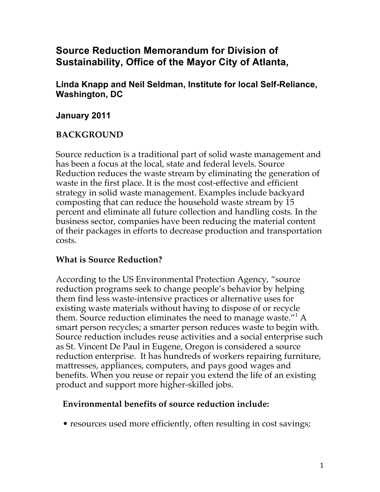# **Source Reduction Memorandum for Division of Sustainability, Office of the Mayor City of Atlanta,**

**Linda Knapp and Neil Seldman, Institute for local Self-Reliance, Washington, DC**

### **January 2011**

### **BACKGROUND**

Source reduction is a traditional part of solid waste management and has been a focus at the local, state and federal levels. Source Reduction reduces the waste stream by eliminating the generation of waste in the first place. It is the most cost-effective and efficient strategy in solid waste management. Examples include backyard composting that can reduce the household waste stream by 15 percent and eliminate all future collection and handling costs. In the business sector, companies have been reducing the material content of their packages in efforts to decrease production and transportation costs.

### **What is Source Reduction?**

According to the US Environmental Protection Agency, "source reduction programs seek to change people's behavior by helping them find less waste-intensive practices or alternative uses for existing waste materials without having to dispose of or recycle them. Source reduction eliminates the need to manage waste."<sup>1</sup> A smart person recycles; a smarter person reduces waste to begin with. Source reduction includes reuse activities and a social enterprise such as St. Vincent De Paul in Eugene, Oregon is considered a source reduction enterprise. It has hundreds of workers repairing furniture, mattresses, appliances, computers, and pays good wages and benefits. When you reuse or repair you extend the life of an existing product and support more higher-skilled jobs.

### **Environmental benefits of source reduction include:**

• resources used more efficiently, often resulting in cost savings;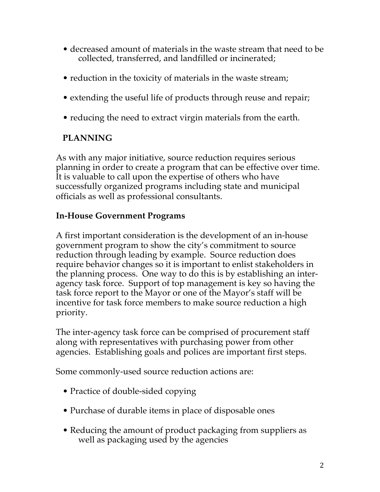- decreased amount of materials in the waste stream that need to be collected, transferred, and landfilled or incinerated;
- reduction in the toxicity of materials in the waste stream;
- extending the useful life of products through reuse and repair;
- reducing the need to extract virgin materials from the earth.

# **PLANNING**

As with any major initiative, source reduction requires serious planning in order to create a program that can be effective over time. It is valuable to call upon the expertise of others who have successfully organized programs including state and municipal officials as well as professional consultants.

## **In-House Government Programs**

A first important consideration is the development of an in-house government program to show the city's commitment to source reduction through leading by example. Source reduction does require behavior changes so it is important to enlist stakeholders in the planning process. One way to do this is by establishing an interagency task force. Support of top management is key so having the task force report to the Mayor or one of the Mayor's staff will be incentive for task force members to make source reduction a high priority.

The inter-agency task force can be comprised of procurement staff along with representatives with purchasing power from other agencies. Establishing goals and polices are important first steps.

Some commonly-used source reduction actions are:

- Practice of double-sided copying
- Purchase of durable items in place of disposable ones
- Reducing the amount of product packaging from suppliers as well as packaging used by the agencies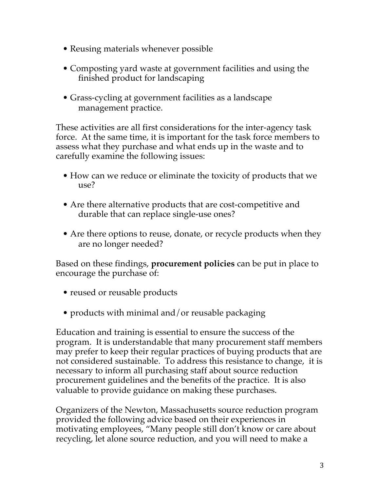- Reusing materials whenever possible
- Composting yard waste at government facilities and using the finished product for landscaping
- Grass-cycling at government facilities as a landscape management practice.

These activities are all first considerations for the inter-agency task force. At the same time, it is important for the task force members to assess what they purchase and what ends up in the waste and to carefully examine the following issues:

- How can we reduce or eliminate the toxicity of products that we use?
- Are there alternative products that are cost-competitive and durable that can replace single-use ones?
- Are there options to reuse, donate, or recycle products when they are no longer needed?

Based on these findings, **procurement policies** can be put in place to encourage the purchase of:

- reused or reusable products
- products with minimal and/or reusable packaging

Education and training is essential to ensure the success of the program. It is understandable that many procurement staff members may prefer to keep their regular practices of buying products that are not considered sustainable. To address this resistance to change, it is necessary to inform all purchasing staff about source reduction procurement guidelines and the benefits of the practice. It is also valuable to provide guidance on making these purchases.

Organizers of the Newton, Massachusetts source reduction program provided the following advice based on their experiences in motivating employees, "Many people still don't know or care about recycling, let alone source reduction, and you will need to make a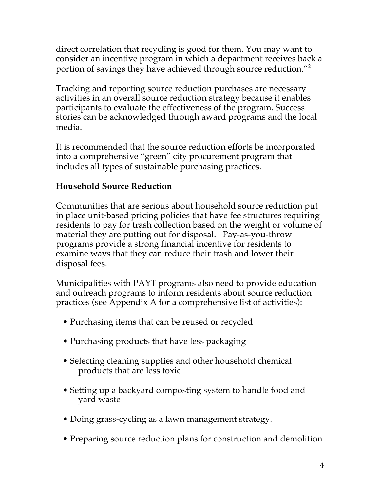direct correlation that recycling is good for them. You may want to consider an incentive program in which a department receives back a portion of savings they have achieved through source reduction."2

Tracking and reporting source reduction purchases are necessary activities in an overall source reduction strategy because it enables participants to evaluate the effectiveness of the program. Success stories can be acknowledged through award programs and the local media.

It is recommended that the source reduction efforts be incorporated into a comprehensive "green" city procurement program that includes all types of sustainable purchasing practices.

### **Household Source Reduction**

Communities that are serious about household source reduction put in place unit-based pricing policies that have fee structures requiring residents to pay for trash collection based on the weight or volume of material they are putting out for disposal. Pay-as-you-throw programs provide a strong financial incentive for residents to examine ways that they can reduce their trash and lower their disposal fees.

Municipalities with PAYT programs also need to provide education and outreach programs to inform residents about source reduction practices (see Appendix A for a comprehensive list of activities):

- Purchasing items that can be reused or recycled
- Purchasing products that have less packaging
- Selecting cleaning supplies and other household chemical products that are less toxic
- Setting up a backyard composting system to handle food and yard waste
- Doing grass-cycling as a lawn management strategy.
- Preparing source reduction plans for construction and demolition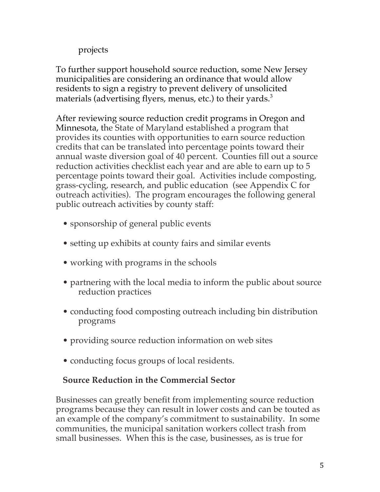## projects

To further support household source reduction, some New Jersey municipalities are considering an ordinance that would allow residents to sign a registry to prevent delivery of unsolicited materials (advertising flyers, menus, etc.) to their yards.<sup>3</sup>

After reviewing source reduction credit programs in Oregon and Minnesota, the State of Maryland established a program that provides its counties with opportunities to earn source reduction credits that can be translated into percentage points toward their annual waste diversion goal of 40 percent. Counties fill out a source reduction activities checklist each year and are able to earn up to 5 percentage points toward their goal. Activities include composting, grass-cycling, research, and public education (see Appendix C for outreach activities). The program encourages the following general public outreach activities by county staff:

- sponsorship of general public events
- setting up exhibits at county fairs and similar events
- working with programs in the schools
- partnering with the local media to inform the public about source reduction practices
- conducting food composting outreach including bin distribution programs
- providing source reduction information on web sites
- conducting focus groups of local residents.

## **Source Reduction in the Commercial Sector**

Businesses can greatly benefit from implementing source reduction programs because they can result in lower costs and can be touted as an example of the company's commitment to sustainability. In some communities, the municipal sanitation workers collect trash from small businesses. When this is the case, businesses, as is true for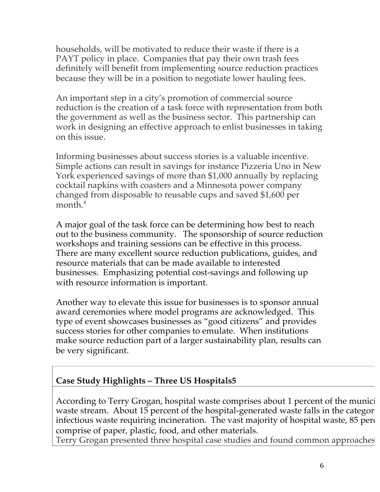households, will be motivated to reduce their waste if there is a PAYT policy in place. Companies that pay their own trash fees definitely will benefit from implementing source reduction practices because they will be in a position to negotiate lower hauling fees.

An important step in a city's promotion of commercial source reduction is the creation of a task force with representation from both the government as well as the business sector. This partnership can work in designing an effective approach to enlist businesses in taking on this issue.

Informing businesses about success stories is a valuable incentive. Simple actions can result in savings for instance Pizzeria Uno in New York experienced savings of more than \$1,000 annually by replacing cocktail napkins with coasters and a Minnesota power company changed from disposable to reusable cups and saved \$1,600 per month.<sup>4</sup>

A major goal of the task force can be determining how best to reach out to the business community. The sponsorship of source reduction workshops and training sessions can be effective in this process. There are many excellent source reduction publications, guides, and resource materials that can be made available to interested businesses. Emphasizing potential cost-savings and following up with resource information is important.

Another way to elevate this issue for businesses is to sponsor annual award ceremonies where model programs are acknowledged. This type of event showcases businesses as "good citizens" and provides success stories for other companies to emulate. When institutions make source reduction part of a larger sustainability plan, results can be very significant.

# **Case Study Highlights – Three US Hospitals5**

According to Terry Grogan, hospital waste comprises about 1 percent of the munici waste stream. About 15 percent of the hospital-generated waste falls in the categor infectious waste requiring incineration. The vast majority of hospital waste,  $85$  percent comprise of paper, plastic, food, and other materials.

Terry Grogan presented three hospital case studies and found common approaches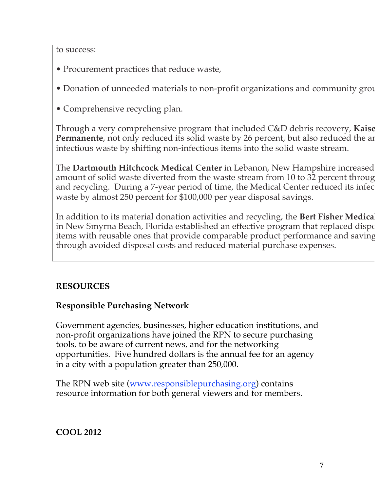to success:

- Procurement practices that reduce waste,
- Donation of unneeded materials to non-profit organizations and community group
- Comprehensive recycling plan.

Through a very comprehensive program that included C&D debris recovery, **Kaiser Permanente**, not only reduced its solid waste by 26 percent, but also reduced the ar infectious waste by shifting non-infectious items into the solid waste stream.

The **Dartmouth Hitchcock Medical Center** in Lebanon, New Hampshire increased amount of solid waste diverted from the waste stream from 10 to 32 percent through and recycling. During a 7-year period of time, the Medical Center reduced its infec waste by almost 250 percent for \$100,000 per year disposal savings.

In addition to its material donation activities and recycling, the Bert Fisher Medical in New Smyrna Beach, Florida established an effective program that replaced dispo items with reusable ones that provide comparable product performance and saving through avoided disposal costs and reduced material purchase expenses.

## **RESOURCES**

## **Responsible Purchasing Network**

Government agencies, businesses, higher education institutions, and non-profit organizations have joined the RPN to secure purchasing tools, to be aware of current news, and for the networking opportunities. Five hundred dollars is the annual fee for an agency in a city with a population greater than 250,000.

The RPN web site (www.responsiblepurchasing.org) contains resource information for both general viewers and for members.

### **COOL 2012**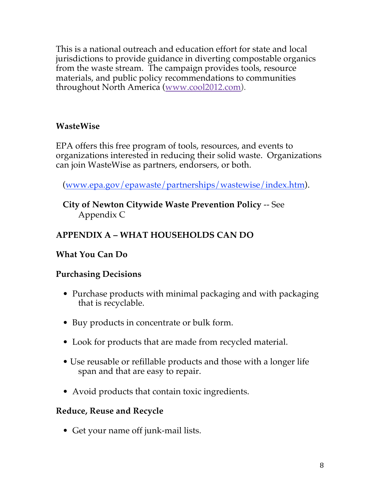This is a national outreach and education effort for state and local jurisdictions to provide guidance in diverting compostable organics from the waste stream. The campaign provides tools, resource materials, and public policy recommendations to communities throughout North America (www.cool2012.com).

## **WasteWise**

EPA offers this free program of tools, resources, and events to organizations interested in reducing their solid waste. Organizations can join WasteWise as partners, endorsers, or both.

(www.epa.gov/epawaste/partnerships/wastewise/index.htm).

**City of Newton Citywide Waste Prevention Policy** -- See Appendix C

# **APPENDIX A – WHAT HOUSEHOLDS CAN DO**

## **What You Can Do**

## **Purchasing Decisions**

- Purchase products with minimal packaging and with packaging that is recyclable.
- Buy products in concentrate or bulk form.
- Look for products that are made from recycled material.
- Use reusable or refillable products and those with a longer life span and that are easy to repair.
- Avoid products that contain toxic ingredients.

### **Reduce, Reuse and Recycle**

• Get your name off junk-mail lists.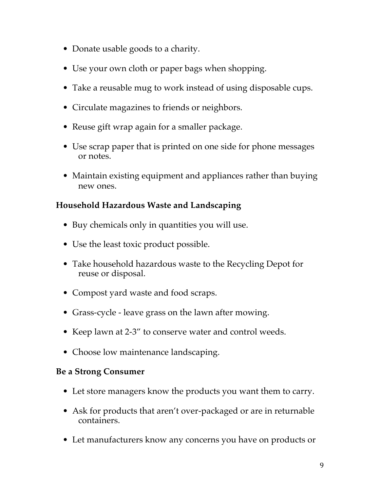- Donate usable goods to a charity.
- Use your own cloth or paper bags when shopping.
- Take a reusable mug to work instead of using disposable cups.
- Circulate magazines to friends or neighbors.
- Reuse gift wrap again for a smaller package.
- Use scrap paper that is printed on one side for phone messages or notes.
- Maintain existing equipment and appliances rather than buying new ones.

## **Household Hazardous Waste and Landscaping**

- Buy chemicals only in quantities you will use.
- Use the least toxic product possible.
- Take household hazardous waste to the Recycling Depot for reuse or disposal.
- Compost yard waste and food scraps.
- Grass-cycle leave grass on the lawn after mowing.
- Keep lawn at 2-3" to conserve water and control weeds.
- Choose low maintenance landscaping.

## **Be a Strong Consumer**

- Let store managers know the products you want them to carry.
- Ask for products that aren't over-packaged or are in returnable containers.
- Let manufacturers know any concerns you have on products or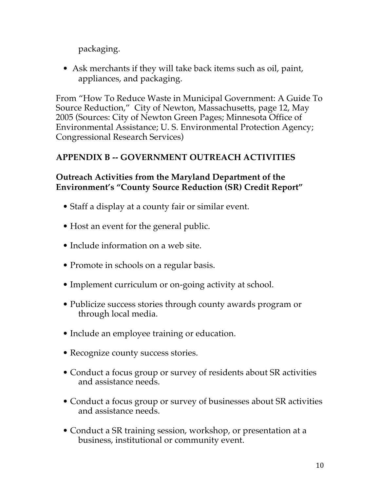packaging.

• Ask merchants if they will take back items such as oil, paint, appliances, and packaging.

From "How To Reduce Waste in Municipal Government: A Guide To Source Reduction," City of Newton, Massachusetts, page 12, May 2005 (Sources: City of Newton Green Pages; Minnesota Office of Environmental Assistance; U. S. Environmental Protection Agency; Congressional Research Services)

## **APPENDIX B -- GOVERNMENT OUTREACH ACTIVITIES**

## **Outreach Activities from the Maryland Department of the Environment's "County Source Reduction (SR) Credit Report"**

- Staff a display at a county fair or similar event.
- Host an event for the general public.
- Include information on a web site.
- Promote in schools on a regular basis.
- Implement curriculum or on-going activity at school.
- Publicize success stories through county awards program or through local media.
- Include an employee training or education.
- Recognize county success stories.
- Conduct a focus group or survey of residents about SR activities and assistance needs.
- Conduct a focus group or survey of businesses about SR activities and assistance needs.
- Conduct a SR training session, workshop, or presentation at a business, institutional or community event.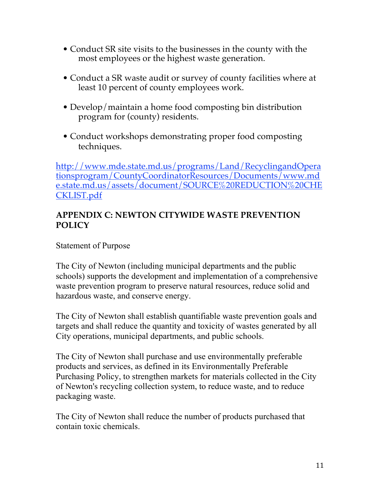- Conduct SR site visits to the businesses in the county with the most employees or the highest waste generation.
- Conduct a SR waste audit or survey of county facilities where at least 10 percent of county employees work.
- Develop/maintain a home food composting bin distribution program for (county) residents.
- Conduct workshops demonstrating proper food composting techniques.

http://www.mde.state.md.us/programs/Land/RecyclingandOpera tionsprogram/CountyCoordinatorResources/Documents/www.md e.state.md.us/assets/document/SOURCE%20REDUCTION%20CHE CKLIST.pdf

### **APPENDIX C: NEWTON CITYWIDE WASTE PREVENTION POLICY**

Statement of Purpose

The City of Newton (including municipal departments and the public schools) supports the development and implementation of a comprehensive waste prevention program to preserve natural resources, reduce solid and hazardous waste, and conserve energy.

The City of Newton shall establish quantifiable waste prevention goals and targets and shall reduce the quantity and toxicity of wastes generated by all City operations, municipal departments, and public schools.

The City of Newton shall purchase and use environmentally preferable products and services, as defined in its Environmentally Preferable Purchasing Policy, to strengthen markets for materials collected in the City of Newton's recycling collection system, to reduce waste, and to reduce packaging waste.

The City of Newton shall reduce the number of products purchased that contain toxic chemicals.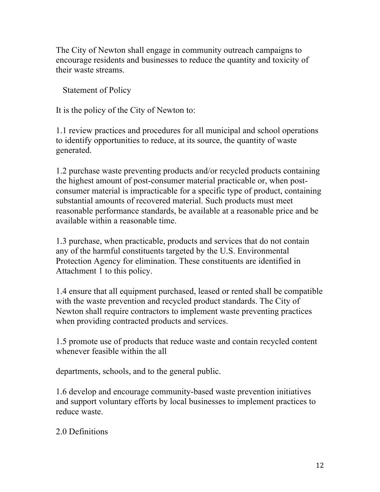The City of Newton shall engage in community outreach campaigns to encourage residents and businesses to reduce the quantity and toxicity of their waste streams.

Statement of Policy

It is the policy of the City of Newton to:

1.1 review practices and procedures for all municipal and school operations to identify opportunities to reduce, at its source, the quantity of waste generated.

1.2 purchase waste preventing products and/or recycled products containing the highest amount of post-consumer material practicable or, when postconsumer material is impracticable for a specific type of product, containing substantial amounts of recovered material. Such products must meet reasonable performance standards, be available at a reasonable price and be available within a reasonable time.

1.3 purchase, when practicable, products and services that do not contain any of the harmful constituents targeted by the U.S. Environmental Protection Agency for elimination. These constituents are identified in Attachment 1 to this policy.

1.4 ensure that all equipment purchased, leased or rented shall be compatible with the waste prevention and recycled product standards. The City of Newton shall require contractors to implement waste preventing practices when providing contracted products and services.

1.5 promote use of products that reduce waste and contain recycled content whenever feasible within the all

departments, schools, and to the general public.

1.6 develop and encourage community-based waste prevention initiatives and support voluntary efforts by local businesses to implement practices to reduce waste.

2.0 Definitions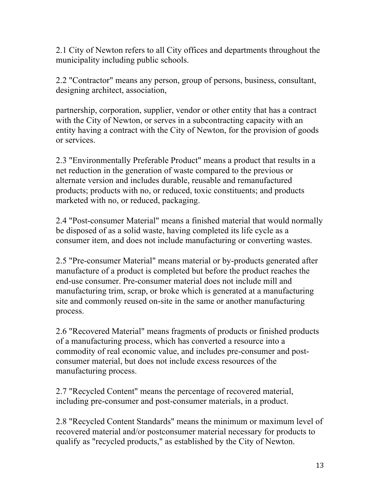2.1 City of Newton refers to all City offices and departments throughout the municipality including public schools.

2.2 "Contractor" means any person, group of persons, business, consultant, designing architect, association,

partnership, corporation, supplier, vendor or other entity that has a contract with the City of Newton, or serves in a subcontracting capacity with an entity having a contract with the City of Newton, for the provision of goods or services.

2.3 "Environmentally Preferable Product" means a product that results in a net reduction in the generation of waste compared to the previous or alternate version and includes durable, reusable and remanufactured products; products with no, or reduced, toxic constituents; and products marketed with no, or reduced, packaging.

2.4 "Post-consumer Material" means a finished material that would normally be disposed of as a solid waste, having completed its life cycle as a consumer item, and does not include manufacturing or converting wastes.

2.5 "Pre-consumer Material" means material or by-products generated after manufacture of a product is completed but before the product reaches the end-use consumer. Pre-consumer material does not include mill and manufacturing trim, scrap, or broke which is generated at a manufacturing site and commonly reused on-site in the same or another manufacturing process.

2.6 "Recovered Material" means fragments of products or finished products of a manufacturing process, which has converted a resource into a commodity of real economic value, and includes pre-consumer and postconsumer material, but does not include excess resources of the manufacturing process.

2.7 "Recycled Content" means the percentage of recovered material, including pre-consumer and post-consumer materials, in a product.

2.8 "Recycled Content Standards" means the minimum or maximum level of recovered material and/or postconsumer material necessary for products to qualify as "recycled products," as established by the City of Newton.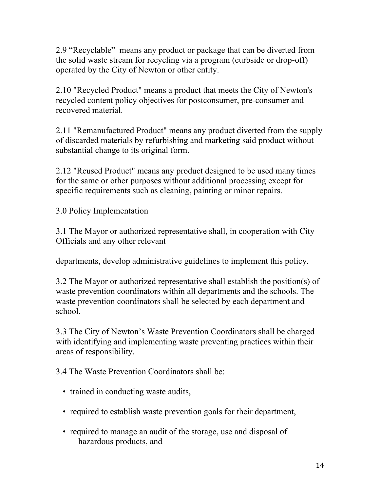2.9 "Recyclable" means any product or package that can be diverted from the solid waste stream for recycling via a program (curbside or drop-off) operated by the City of Newton or other entity.

2.10 "Recycled Product" means a product that meets the City of Newton's recycled content policy objectives for postconsumer, pre-consumer and recovered material.

2.11 "Remanufactured Product" means any product diverted from the supply of discarded materials by refurbishing and marketing said product without substantial change to its original form.

2.12 "Reused Product" means any product designed to be used many times for the same or other purposes without additional processing except for specific requirements such as cleaning, painting or minor repairs.

3.0 Policy Implementation

3.1 The Mayor or authorized representative shall, in cooperation with City Officials and any other relevant

departments, develop administrative guidelines to implement this policy.

3.2 The Mayor or authorized representative shall establish the position(s) of waste prevention coordinators within all departments and the schools. The waste prevention coordinators shall be selected by each department and school.

3.3 The City of Newton's Waste Prevention Coordinators shall be charged with identifying and implementing waste preventing practices within their areas of responsibility.

3.4 The Waste Prevention Coordinators shall be:

- trained in conducting waste audits,
- required to establish waste prevention goals for their department,
- required to manage an audit of the storage, use and disposal of hazardous products, and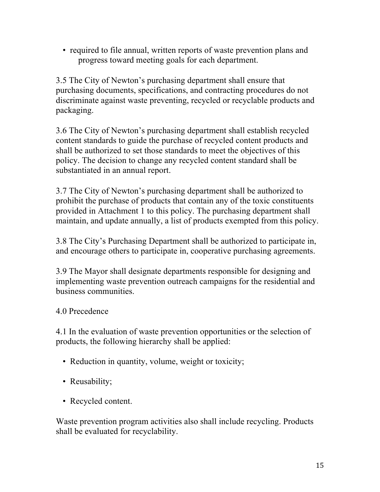• required to file annual, written reports of waste prevention plans and progress toward meeting goals for each department.

3.5 The City of Newton's purchasing department shall ensure that purchasing documents, specifications, and contracting procedures do not discriminate against waste preventing, recycled or recyclable products and packaging.

3.6 The City of Newton's purchasing department shall establish recycled content standards to guide the purchase of recycled content products and shall be authorized to set those standards to meet the objectives of this policy. The decision to change any recycled content standard shall be substantiated in an annual report.

3.7 The City of Newton's purchasing department shall be authorized to prohibit the purchase of products that contain any of the toxic constituents provided in Attachment 1 to this policy. The purchasing department shall maintain, and update annually, a list of products exempted from this policy.

3.8 The City's Purchasing Department shall be authorized to participate in, and encourage others to participate in, cooperative purchasing agreements.

3.9 The Mayor shall designate departments responsible for designing and implementing waste prevention outreach campaigns for the residential and business communities.

## 4.0 Precedence

4.1 In the evaluation of waste prevention opportunities or the selection of products, the following hierarchy shall be applied:

- Reduction in quantity, volume, weight or toxicity;
- Reusability;
- Recycled content.

Waste prevention program activities also shall include recycling. Products shall be evaluated for recyclability.